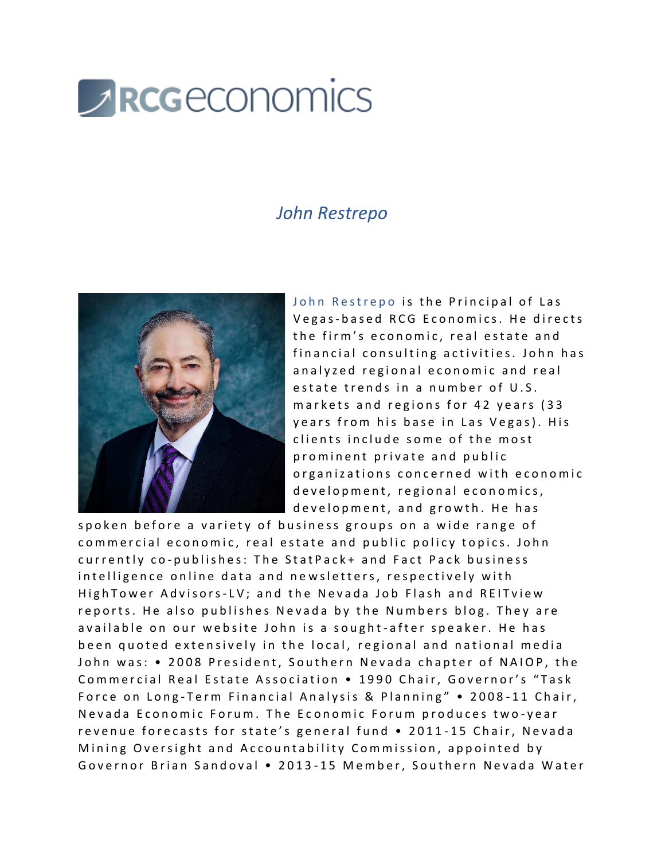

## *John Restrepo*



John Restrepo is the Principal of Las Vegas-based RCG Economics. He directs the firm's economic, real estate and financial consulting activities. John has analyzed regional economic and real estate trends in a number of U.S. markets and regions for 42 years (33 y e ars from his base in Las Vegas). His clients include some of the most prominent private and public organizations concerned with economic d e v e l o p m e n t, r e g i o n a l e c o n o m i c s, development, and growth. He has

spoken before a variety of business groups on a wide range of commercial economic, real estate and public policy topics. John currently co-publishes: The StatPack+ and Fact Pack business intelligence online data and newsletters, respectively with High Tower Advisors-LV; and the Nevada Job Flash and REI Tview reports. He also publishes Nevada by the Numbers blog. They are available on our website John is a sought-after speaker. He has been quoted extensively in the local, regional and national media John was: • 2008 President, Southern Nevada chapter of NAIOP, the Commercial Real Estate Association • 1990 Chair, Governor's "Task Force on Long-Term Financial Analysis & Planning" • 2008-11 Chair, Nevada Economic Forum. The Economic Forum produces two-year revenue forecasts for state's general fund • 2011-15 Chair, Nevada Mining Oversight and Accountability Commission, appointed by Governor Brian Sandoval • 2013-15 Member, Southern Nevada Water